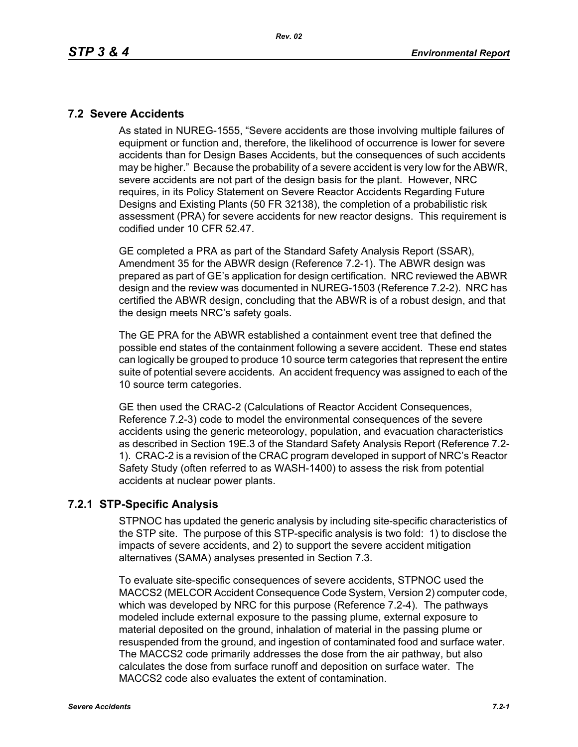### **7.2 Severe Accidents**

As stated in NUREG-1555, "Severe accidents are those involving multiple failures of equipment or function and, therefore, the likelihood of occurrence is lower for severe accidents than for Design Bases Accidents, but the consequences of such accidents may be higher." Because the probability of a severe accident is very low for the ABWR, severe accidents are not part of the design basis for the plant. However, NRC requires, in its Policy Statement on Severe Reactor Accidents Regarding Future Designs and Existing Plants (50 FR 32138), the completion of a probabilistic risk assessment (PRA) for severe accidents for new reactor designs. This requirement is codified under 10 CFR 52.47.

GE completed a PRA as part of the Standard Safety Analysis Report (SSAR), Amendment 35 for the ABWR design (Reference 7.2-1). The ABWR design was prepared as part of GE's application for design certification. NRC reviewed the ABWR design and the review was documented in NUREG-1503 (Reference 7.2-2). NRC has certified the ABWR design, concluding that the ABWR is of a robust design, and that the design meets NRC's safety goals.

The GE PRA for the ABWR established a containment event tree that defined the possible end states of the containment following a severe accident. These end states can logically be grouped to produce 10 source term categories that represent the entire suite of potential severe accidents. An accident frequency was assigned to each of the 10 source term categories.

GE then used the CRAC-2 (Calculations of Reactor Accident Consequences, Reference 7.2-3) code to model the environmental consequences of the severe accidents using the generic meteorology, population, and evacuation characteristics as described in Section 19E.3 of the Standard Safety Analysis Report (Reference 7.2- 1). CRAC-2 is a revision of the CRAC program developed in support of NRC's Reactor Safety Study (often referred to as WASH-1400) to assess the risk from potential accidents at nuclear power plants.

## **7.2.1 STP-Specific Analysis**

STPNOC has updated the generic analysis by including site-specific characteristics of the STP site. The purpose of this STP-specific analysis is two fold: 1) to disclose the impacts of severe accidents, and 2) to support the severe accident mitigation alternatives (SAMA) analyses presented in Section 7.3.

To evaluate site-specific consequences of severe accidents, STPNOC used the MACCS2 (MELCOR Accident Consequence Code System, Version 2) computer code, which was developed by NRC for this purpose (Reference 7.2-4). The pathways modeled include external exposure to the passing plume, external exposure to material deposited on the ground, inhalation of material in the passing plume or resuspended from the ground, and ingestion of contaminated food and surface water. The MACCS2 code primarily addresses the dose from the air pathway, but also calculates the dose from surface runoff and deposition on surface water. The MACCS2 code also evaluates the extent of contamination.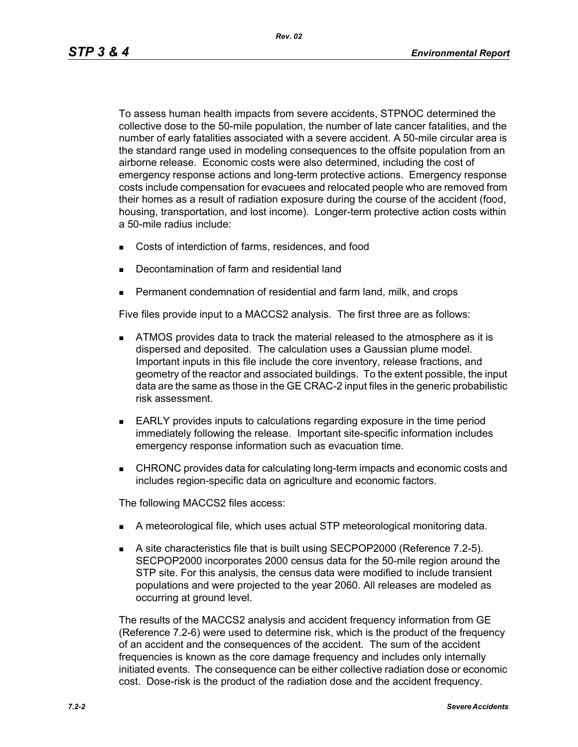To assess human health impacts from severe accidents, STPNOC determined the collective dose to the 50-mile population, the number of late cancer fatalities, and the number of early fatalities associated with a severe accident. A 50-mile circular area is the standard range used in modeling consequences to the offsite population from an airborne release. Economic costs were also determined, including the cost of emergency response actions and long-term protective actions. Emergency response costs include compensation for evacuees and relocated people who are removed from their homes as a result of radiation exposure during the course of the accident (food, housing, transportation, and lost income). Longer-term protective action costs within a 50-mile radius include:

- Costs of interdiction of farms, residences, and food
- Decontamination of farm and residential land
- Permanent condemnation of residential and farm land, milk, and crops

Five files provide input to a MACCS2 analysis. The first three are as follows:

- **ATMOS** provides data to track the material released to the atmosphere as it is dispersed and deposited. The calculation uses a Gaussian plume model. Important inputs in this file include the core inventory, release fractions, and geometry of the reactor and associated buildings. To the extent possible, the input data are the same as those in the GE CRAC-2 input files in the generic probabilistic risk assessment.
- EARLY provides inputs to calculations regarding exposure in the time period immediately following the release. Important site-specific information includes emergency response information such as evacuation time.
- **EXECUARCI** CHRONC provides data for calculating long-term impacts and economic costs and includes region-specific data on agriculture and economic factors.

The following MACCS2 files access:

- A meteorological file, which uses actual STP meteorological monitoring data.
- A site characteristics file that is built using SECPOP2000 (Reference 7.2-5). SECPOP2000 incorporates 2000 census data for the 50-mile region around the STP site. For this analysis, the census data were modified to include transient populations and were projected to the year 2060. All releases are modeled as occurring at ground level.

The results of the MACCS2 analysis and accident frequency information from GE (Reference 7.2-6) were used to determine risk, which is the product of the frequency of an accident and the consequences of the accident. The sum of the accident frequencies is known as the core damage frequency and includes only internally initiated events. The consequence can be either collective radiation dose or economic cost. Dose-risk is the product of the radiation dose and the accident frequency.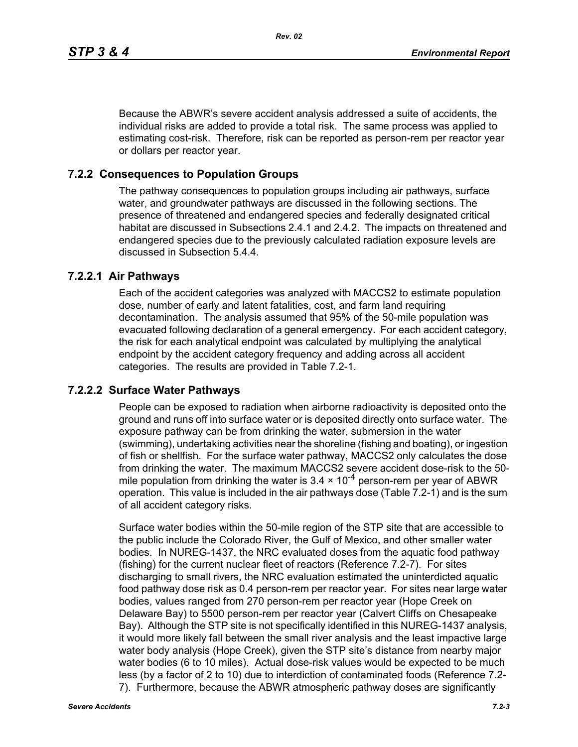Because the ABWR's severe accident analysis addressed a suite of accidents, the individual risks are added to provide a total risk. The same process was applied to estimating cost-risk. Therefore, risk can be reported as person-rem per reactor year or dollars per reactor year.

#### **7.2.2 Consequences to Population Groups**

The pathway consequences to population groups including air pathways, surface water, and groundwater pathways are discussed in the following sections. The presence of threatened and endangered species and federally designated critical habitat are discussed in Subsections 2.4.1 and 2.4.2. The impacts on threatened and endangered species due to the previously calculated radiation exposure levels are discussed in Subsection 5.4.4.

## **7.2.2.1 Air Pathways**

Each of the accident categories was analyzed with MACCS2 to estimate population dose, number of early and latent fatalities, cost, and farm land requiring decontamination. The analysis assumed that 95% of the 50-mile population was evacuated following declaration of a general emergency. For each accident category, the risk for each analytical endpoint was calculated by multiplying the analytical endpoint by the accident category frequency and adding across all accident categories. The results are provided in Table 7.2-1.

#### **7.2.2.2 Surface Water Pathways**

People can be exposed to radiation when airborne radioactivity is deposited onto the ground and runs off into surface water or is deposited directly onto surface water. The exposure pathway can be from drinking the water, submersion in the water (swimming), undertaking activities near the shoreline (fishing and boating), or ingestion of fish or shellfish. For the surface water pathway, MACCS2 only calculates the dose from drinking the water. The maximum MACCS2 severe accident dose-risk to the 50 mile population from drinking the water is  $3.4 \times 10^{-4}$  person-rem per year of ABWR operation. This value is included in the air pathways dose (Table 7.2-1) and is the sum of all accident category risks.

Surface water bodies within the 50-mile region of the STP site that are accessible to the public include the Colorado River, the Gulf of Mexico, and other smaller water bodies. In NUREG-1437, the NRC evaluated doses from the aquatic food pathway (fishing) for the current nuclear fleet of reactors (Reference 7.2-7). For sites discharging to small rivers, the NRC evaluation estimated the uninterdicted aquatic food pathway dose risk as 0.4 person-rem per reactor year. For sites near large water bodies, values ranged from 270 person-rem per reactor year (Hope Creek on Delaware Bay) to 5500 person-rem per reactor year (Calvert Cliffs on Chesapeake Bay). Although the STP site is not specifically identified in this NUREG-1437 analysis, it would more likely fall between the small river analysis and the least impactive large water body analysis (Hope Creek), given the STP site's distance from nearby major water bodies (6 to 10 miles). Actual dose-risk values would be expected to be much less (by a factor of 2 to 10) due to interdiction of contaminated foods (Reference 7.2- 7). Furthermore, because the ABWR atmospheric pathway doses are significantly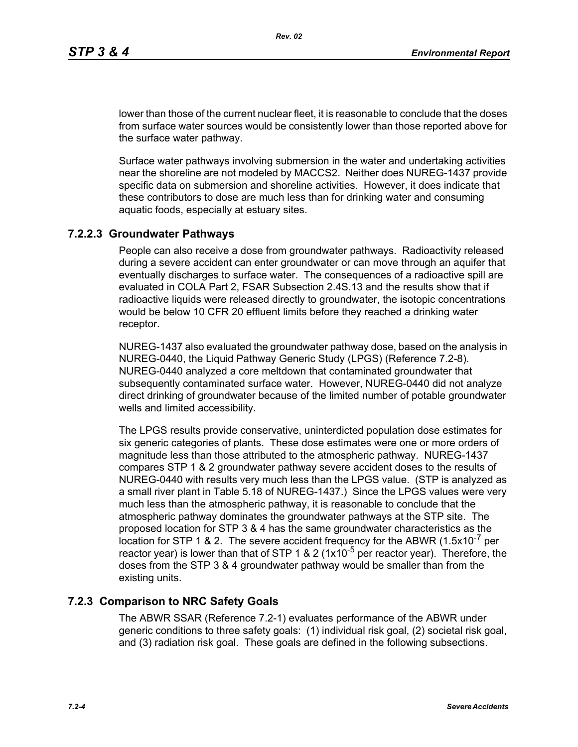lower than those of the current nuclear fleet, it is reasonable to conclude that the doses from surface water sources would be consistently lower than those reported above for the surface water pathway.

Surface water pathways involving submersion in the water and undertaking activities near the shoreline are not modeled by MACCS2. Neither does NUREG-1437 provide specific data on submersion and shoreline activities. However, it does indicate that these contributors to dose are much less than for drinking water and consuming aquatic foods, especially at estuary sites.

# **7.2.2.3 Groundwater Pathways**

People can also receive a dose from groundwater pathways. Radioactivity released during a severe accident can enter groundwater or can move through an aquifer that eventually discharges to surface water. The consequences of a radioactive spill are evaluated in COLA Part 2, FSAR Subsection 2.4S.13 and the results show that if radioactive liquids were released directly to groundwater, the isotopic concentrations would be below 10 CFR 20 effluent limits before they reached a drinking water receptor.

NUREG-1437 also evaluated the groundwater pathway dose, based on the analysis in NUREG-0440, the Liquid Pathway Generic Study (LPGS) (Reference 7.2-8). NUREG-0440 analyzed a core meltdown that contaminated groundwater that subsequently contaminated surface water. However, NUREG-0440 did not analyze direct drinking of groundwater because of the limited number of potable groundwater wells and limited accessibility.

The LPGS results provide conservative, uninterdicted population dose estimates for six generic categories of plants. These dose estimates were one or more orders of magnitude less than those attributed to the atmospheric pathway. NUREG-1437 compares STP 1 & 2 groundwater pathway severe accident doses to the results of NUREG-0440 with results very much less than the LPGS value. (STP is analyzed as a small river plant in Table 5.18 of NUREG-1437.) Since the LPGS values were very much less than the atmospheric pathway, it is reasonable to conclude that the atmospheric pathway dominates the groundwater pathways at the STP site. The proposed location for STP 3 & 4 has the same groundwater characteristics as the location for STP 1 & 2. The severe accident frequency for the ABWR  $(1.5x10^{-7}$  per reactor year) is lower than that of STP 1 & 2 (1x10<sup>-5</sup> per reactor year). Therefore, the doses from the STP 3 & 4 groundwater pathway would be smaller than from the existing units.

### **7.2.3 Comparison to NRC Safety Goals**

The ABWR SSAR (Reference 7.2-1) evaluates performance of the ABWR under generic conditions to three safety goals: (1) individual risk goal, (2) societal risk goal, and (3) radiation risk goal. These goals are defined in the following subsections.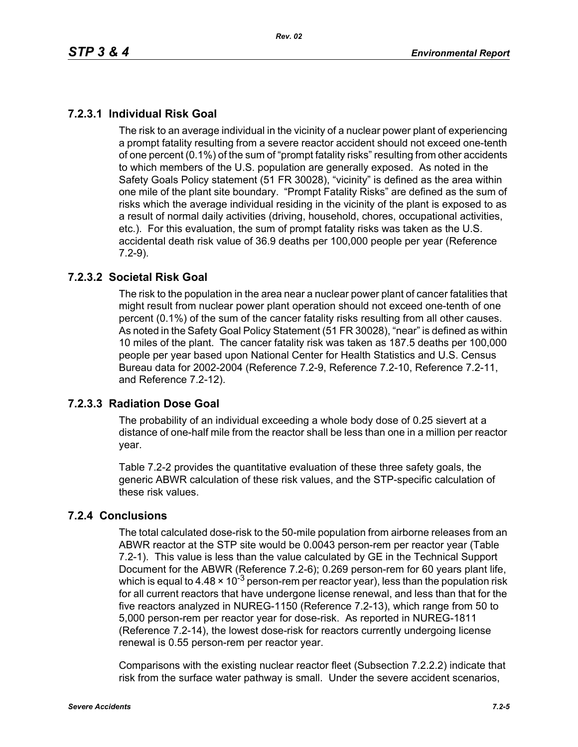# **7.2.3.1 Individual Risk Goal**

The risk to an average individual in the vicinity of a nuclear power plant of experiencing a prompt fatality resulting from a severe reactor accident should not exceed one-tenth of one percent (0.1%) of the sum of "prompt fatality risks" resulting from other accidents to which members of the U.S. population are generally exposed. As noted in the Safety Goals Policy statement (51 FR 30028), "vicinity" is defined as the area within one mile of the plant site boundary. "Prompt Fatality Risks" are defined as the sum of risks which the average individual residing in the vicinity of the plant is exposed to as a result of normal daily activities (driving, household, chores, occupational activities, etc.). For this evaluation, the sum of prompt fatality risks was taken as the U.S. accidental death risk value of 36.9 deaths per 100,000 people per year (Reference 7.2-9).

## **7.2.3.2 Societal Risk Goal**

The risk to the population in the area near a nuclear power plant of cancer fatalities that might result from nuclear power plant operation should not exceed one-tenth of one percent (0.1%) of the sum of the cancer fatality risks resulting from all other causes. As noted in the Safety Goal Policy Statement (51 FR 30028), "near" is defined as within 10 miles of the plant. The cancer fatality risk was taken as 187.5 deaths per 100,000 people per year based upon National Center for Health Statistics and U.S. Census Bureau data for 2002-2004 (Reference 7.2-9, Reference 7.2-10, Reference 7.2-11, and Reference 7.2-12).

## **7.2.3.3 Radiation Dose Goal**

The probability of an individual exceeding a whole body dose of 0.25 sievert at a distance of one-half mile from the reactor shall be less than one in a million per reactor year.

Table 7.2-2 provides the quantitative evaluation of these three safety goals, the generic ABWR calculation of these risk values, and the STP-specific calculation of these risk values.

## **7.2.4 Conclusions**

The total calculated dose-risk to the 50-mile population from airborne releases from an ABWR reactor at the STP site would be 0.0043 person-rem per reactor year (Table 7.2-1). This value is less than the value calculated by GE in the Technical Support Document for the ABWR (Reference 7.2-6); 0.269 person-rem for 60 years plant life, which is equal to 4.48  $\times$  10<sup>-3</sup> person-rem per reactor year), less than the population risk for all current reactors that have undergone license renewal, and less than that for the five reactors analyzed in NUREG-1150 (Reference 7.2-13), which range from 50 to 5,000 person-rem per reactor year for dose-risk. As reported in NUREG-1811 (Reference 7.2-14), the lowest dose-risk for reactors currently undergoing license renewal is 0.55 person-rem per reactor year.

Comparisons with the existing nuclear reactor fleet (Subsection 7.2.2.2) indicate that risk from the surface water pathway is small. Under the severe accident scenarios,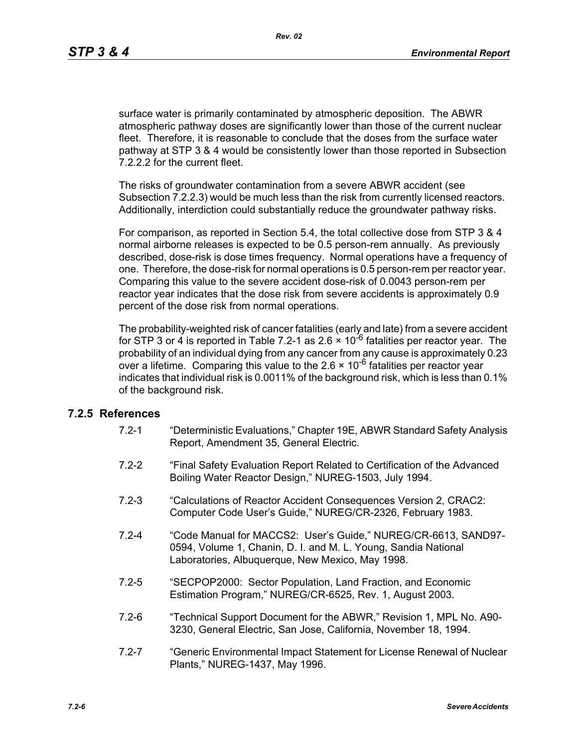surface water is primarily contaminated by atmospheric deposition. The ABWR atmospheric pathway doses are significantly lower than those of the current nuclear fleet. Therefore, it is reasonable to conclude that the doses from the surface water pathway at STP 3 & 4 would be consistently lower than those reported in Subsection 7.2.2.2 for the current fleet.

The risks of groundwater contamination from a severe ABWR accident (see Subsection 7.2.2.3) would be much less than the risk from currently licensed reactors. Additionally, interdiction could substantially reduce the groundwater pathway risks.

For comparison, as reported in Section 5.4, the total collective dose from STP 3 & 4 normal airborne releases is expected to be 0.5 person-rem annually. As previously described, dose-risk is dose times frequency. Normal operations have a frequency of one. Therefore, the dose-risk for normal operations is 0.5 person-rem per reactor year. Comparing this value to the severe accident dose-risk of 0.0043 person-rem per reactor year indicates that the dose risk from severe accidents is approximately 0.9 percent of the dose risk from normal operations.

The probability-weighted risk of cancer fatalities (early and late) from a severe accident for STP 3 or 4 is reported in Table 7.2-1 as 2.6  $\times$  10<sup>-6</sup> fatalities per reactor year. The probability of an individual dying from any cancer from any cause is approximately 0.23 over a lifetime. Comparing this value to the 2.6  $\times$  10<sup>-6</sup> fatalities per reactor year indicates that individual risk is 0.0011% of the background risk, which is less than 0.1% of the background risk.

#### **7.2.5 References**

- 7.2-1 "Deterministic Evaluations," Chapter 19E, ABWR Standard Safety Analysis Report, Amendment 35, General Electric.
- 7.2-2 "Final Safety Evaluation Report Related to Certification of the Advanced Boiling Water Reactor Design," NUREG-1503, July 1994.
- 7.2-3 "Calculations of Reactor Accident Consequences Version 2, CRAC2: Computer Code User's Guide," NUREG/CR-2326, February 1983.
- 7.2-4 "Code Manual for MACCS2: User's Guide," NUREG/CR-6613, SAND97- 0594, Volume 1, Chanin, D. I. and M. L. Young, Sandia National Laboratories, Albuquerque, New Mexico, May 1998.
- 7.2-5 "SECPOP2000: Sector Population, Land Fraction, and Economic Estimation Program," NUREG/CR-6525, Rev. 1, August 2003.
- 7.2-6 "Technical Support Document for the ABWR," Revision 1, MPL No. A90- 3230, General Electric, San Jose, California, November 18, 1994.
- 7.2-7 "Generic Environmental Impact Statement for License Renewal of Nuclear Plants," NUREG-1437, May 1996.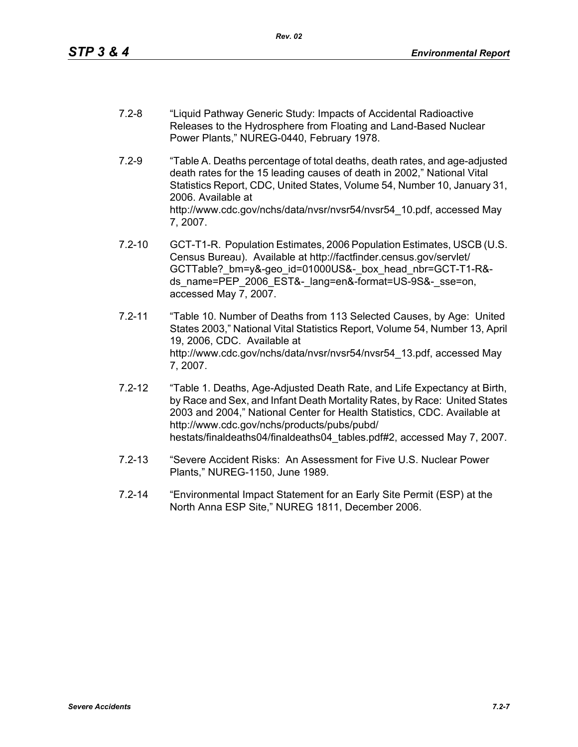- 7.2-8 "Liquid Pathway Generic Study: Impacts of Accidental Radioactive Releases to the Hydrosphere from Floating and Land-Based Nuclear Power Plants," NUREG-0440, February 1978.
- 7.2-9 "Table A. Deaths percentage of total deaths, death rates, and age-adjusted death rates for the 15 leading causes of death in 2002," National Vital Statistics Report, CDC, United States, Volume 54, Number 10, January 31, 2006. Available at http://www.cdc.gov/nchs/data/nvsr/nvsr54/nvsr54\_10.pdf, accessed May 7, 2007.
- 7.2-10 GCT-T1-R. Population Estimates, 2006 Population Estimates, USCB (U.S. Census Bureau). Available at http://factfinder.census.gov/servlet/ GCTTable? bm=y&-geo\_id=01000US&-\_box\_head\_nbr=GCT-T1-R&ds\_name=PEP\_2006\_EST&-\_lang=en&-format=US-9S&-\_sse=on, accessed May 7, 2007.
- 7.2-11 "Table 10. Number of Deaths from 113 Selected Causes, by Age: United States 2003," National Vital Statistics Report, Volume 54, Number 13, April 19, 2006, CDC. Available at http://www.cdc.gov/nchs/data/nvsr/nvsr54/nvsr54\_13.pdf, accessed May 7, 2007.
- 7.2-12 "Table 1. Deaths, Age-Adjusted Death Rate, and Life Expectancy at Birth, by Race and Sex, and Infant Death Mortality Rates, by Race: United States 2003 and 2004," National Center for Health Statistics, CDC. Available at http://www.cdc.gov/nchs/products/pubs/pubd/ hestats/finaldeaths04/finaldeaths04\_tables.pdf#2, accessed May 7, 2007.
- 7.2-13 "Severe Accident Risks: An Assessment for Five U.S. Nuclear Power Plants," NUREG-1150, June 1989.
- 7.2-14 "Environmental Impact Statement for an Early Site Permit (ESP) at the North Anna ESP Site," NUREG 1811, December 2006.